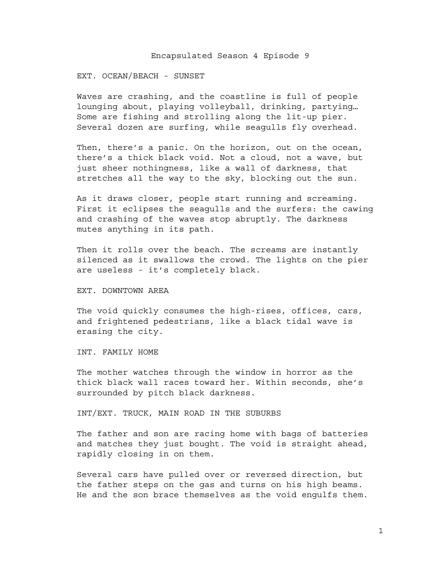## Encapsulated Season 4 Episode 9

## EXT. OCEAN/BEACH - SUNSET

Waves are crashing, and the coastline is full of people lounging about, playing volleyball, drinking, partying… Some are fishing and strolling along the lit-up pier. Several dozen are surfing, while seagulls fly overhead.

Then, there's a panic. On the horizon, out on the ocean, there's a thick black void. Not a cloud, not a wave, but just sheer nothingness, like a wall of darkness, that stretches all the way to the sky, blocking out the sun.

As it draws closer, people start running and screaming. First it eclipses the seagulls and the surfers: the cawing and crashing of the waves stop abruptly. The darkness mutes anything in its path.

Then it rolls over the beach. The screams are instantly silenced as it swallows the crowd. The lights on the pier are useless - it's completely black.

#### EXT. DOWNTOWN AREA

The void quickly consumes the high-rises, offices, cars, and frightened pedestrians, like a black tidal wave is erasing the city.

INT. FAMILY HOME

The mother watches through the window in horror as the thick black wall races toward her. Within seconds, she's surrounded by pitch black darkness.

INT/EXT. TRUCK, MAIN ROAD IN THE SUBURBS

The father and son are racing home with bags of batteries and matches they just bought. The void is straight ahead, rapidly closing in on them.

Several cars have pulled over or reversed direction, but the father steps on the gas and turns on his high beams. He and the son brace themselves as the void engulfs them.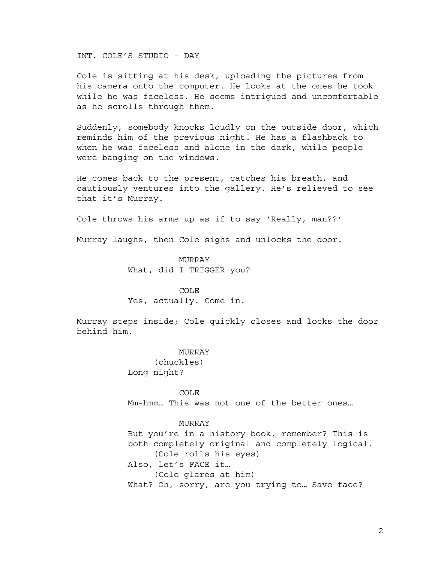INT. COLE'S STUDIO - DAY

Cole is sitting at his desk, uploading the pictures from his camera onto the computer. He looks at the ones he took while he was faceless. He seems intrigued and uncomfortable as he scrolls through them.

Suddenly, somebody knocks loudly on the outside door, which reminds him of the previous night. He has a flashback to when he was faceless and alone in the dark, while people were banging on the windows.

He comes back to the present, catches his breath, and cautiously ventures into the gallery. He's relieved to see that it's Murray.

Cole throws his arms up as if to say 'Really, man??'

Murray laughs, then Cole sighs and unlocks the door.

MURRAY What, did I TRIGGER you?

#### COLE

Yes, actually. Come in.

Murray steps inside; Cole quickly closes and locks the door behind him.

#### MURRAY

(chuckles) Long night?

COLE Mm-hmm… This was not one of the better ones…

## MURRAY

But you're in a history book, remember? This is both completely original and completely logical. (Cole rolls his eyes) Also, let's FACE it… (Cole glares at him) What? Oh, sorry, are you trying to... Save face?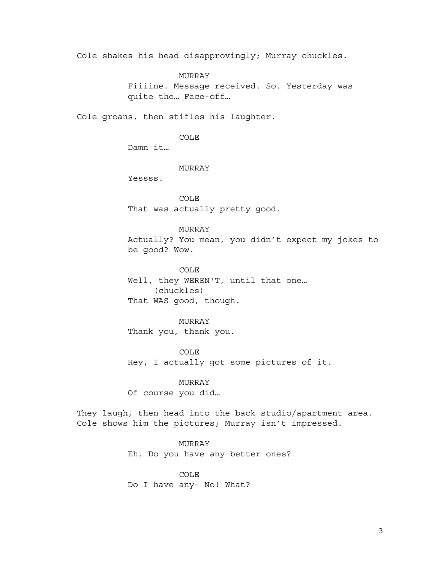Cole shakes his head disapprovingly; Murray chuckles.

MURRAY

Fiiiine. Message received. So. Yesterday was quite the… Face-off…

Cole groans, then stifles his laughter.

COLE

Damn it…

## MURRAY

Yessss.

COLE That was actually pretty good.

## MURRAY

Actually? You mean, you didn't expect my jokes to be good? Wow.

COLE Well, they WEREN'T, until that one… (chuckles) That WAS good, though.

## MURRAY

Thank you, thank you.

COLE Hey, I actually got some pictures of it.

## MURRAY

Of course you did…

They laugh, then head into the back studio/apartment area. Cole shows him the pictures; Murray isn't impressed.

MURRAY

Eh. Do you have any better ones?

COLE

Do I have any- No! What?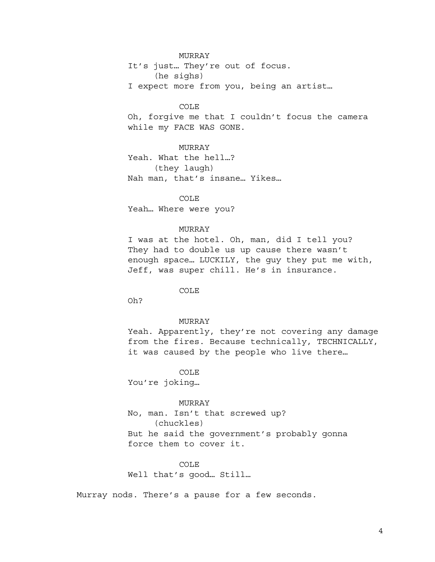## MURRAY

It's just… They're out of focus. (he sighs)

I expect more from you, being an artist…

COLE

Oh, forgive me that I couldn't focus the camera while my FACE WAS GONE.

MURRAY Yeah. What the hell…? (they laugh) Nah man, that's insane… Yikes…

COLE Yeah… Where were you?

#### MURRAY

I was at the hotel. Oh, man, did I tell you? They had to double us up cause there wasn't enough space… LUCKILY, the guy they put me with, Jeff, was super chill. He's in insurance.

COLE

Oh?

## MURRAY

Yeah. Apparently, they're not covering any damage from the fires. Because technically, TECHNICALLY, it was caused by the people who live there…

COLE

You're joking…

## MURRAY

No, man. Isn't that screwed up? (chuckles) But he said the government's probably gonna force them to cover it.

COLE

Well that's good… Still…

Murray nods. There's a pause for a few seconds.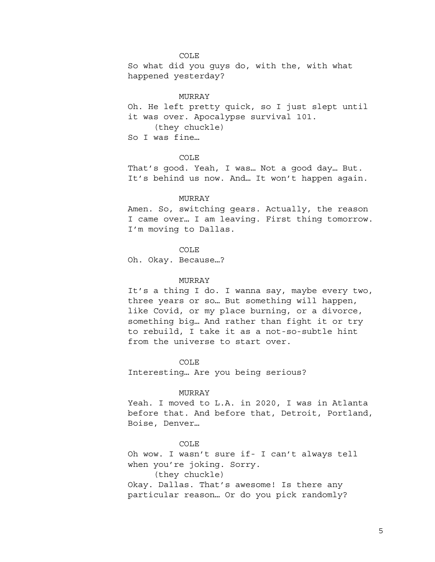#### COLE

So what did you guys do, with the, with what happened yesterday?

#### MURRAY

Oh. He left pretty quick, so I just slept until it was over. Apocalypse survival 101. (they chuckle) So I was fine…

#### COLE

That's good. Yeah, I was… Not a good day… But. It's behind us now. And… It won't happen again.

#### MURRAY

Amen. So, switching gears. Actually, the reason I came over… I am leaving. First thing tomorrow. I'm moving to Dallas.

## COLE

Oh. Okay. Because…?

## MURRAY

It's a thing I do. I wanna say, maybe every two, three years or so… But something will happen, like Covid, or my place burning, or a divorce, something big… And rather than fight it or try to rebuild, I take it as a not-so-subtle hint from the universe to start over.

#### COLE

Interesting… Are you being serious?

#### MURRAY

Yeah. I moved to L.A. in 2020, I was in Atlanta before that. And before that, Detroit, Portland, Boise, Denver…

#### COLE

Oh wow. I wasn't sure if- I can't always tell when you're joking. Sorry. (they chuckle) Okay. Dallas. That's awesome! Is there any

particular reason… Or do you pick randomly?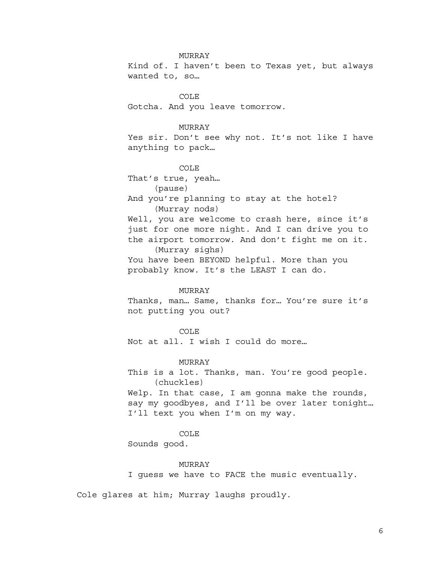#### MURRAY

Kind of. I haven't been to Texas yet, but always wanted to, so…

COLE Gotcha. And you leave tomorrow.

## MURRAY

Yes sir. Don't see why not. It's not like I have anything to pack…

# COLE

That's true, yeah… (pause) And you're planning to stay at the hotel? (Murray nods) Well, you are welcome to crash here, since it's just for one more night. And I can drive you to the airport tomorrow. And don't fight me on it. (Murray sighs) You have been BEYOND helpful. More than you probably know. It's the LEAST I can do.

#### MURRAY

Thanks, man… Same, thanks for… You're sure it's not putting you out?

COLE Not at all. I wish I could do more…

#### MURRAY

This is a lot. Thanks, man. You're good people. (chuckles) Welp. In that case, I am gonna make the rounds, say my goodbyes, and I'll be over later tonight…

# COLE

I'll text you when I'm on my way.

Sounds good.

#### MURRAY

I guess we have to FACE the music eventually.

Cole glares at him; Murray laughs proudly.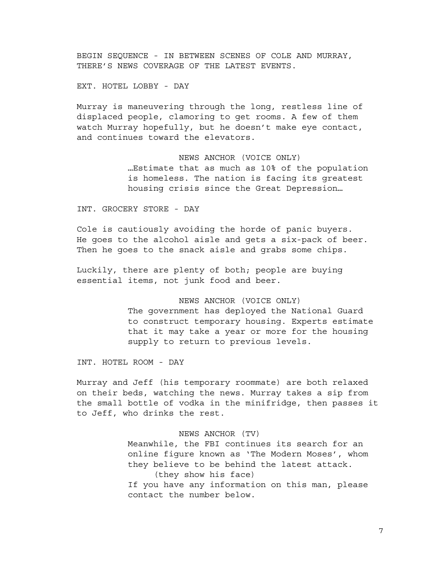BEGIN SEQUENCE - IN BETWEEN SCENES OF COLE AND MURRAY, THERE'S NEWS COVERAGE OF THE LATEST EVENTS.

EXT. HOTEL LOBBY - DAY

Murray is maneuvering through the long, restless line of displaced people, clamoring to get rooms. A few of them watch Murray hopefully, but he doesn't make eye contact, and continues toward the elevators.

> NEWS ANCHOR (VOICE ONLY) …Estimate that as much as 10% of the population is homeless. The nation is facing its greatest housing crisis since the Great Depression…

INT. GROCERY STORE - DAY

Cole is cautiously avoiding the horde of panic buyers. He goes to the alcohol aisle and gets a six-pack of beer. Then he goes to the snack aisle and grabs some chips.

Luckily, there are plenty of both; people are buying essential items, not junk food and beer.

## NEWS ANCHOR (VOICE ONLY)

The government has deployed the National Guard to construct temporary housing. Experts estimate that it may take a year or more for the housing supply to return to previous levels.

INT. HOTEL ROOM - DAY

Murray and Jeff (his temporary roommate) are both relaxed on their beds, watching the news. Murray takes a sip from the small bottle of vodka in the minifridge, then passes it to Jeff, who drinks the rest.

## NEWS ANCHOR (TV)

Meanwhile, the FBI continues its search for an online figure known as 'The Modern Moses', whom they believe to be behind the latest attack. (they show his face) If you have any information on this man, please contact the number below.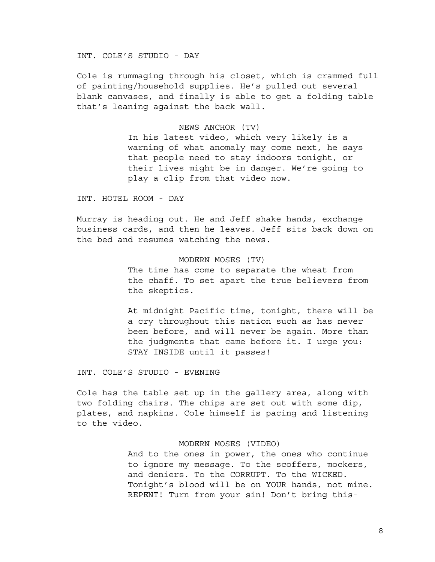INT. COLE'S STUDIO - DAY

Cole is rummaging through his closet, which is crammed full of painting/household supplies. He's pulled out several blank canvases, and finally is able to get a folding table that's leaning against the back wall.

## NEWS ANCHOR (TV)

In his latest video, which very likely is a warning of what anomaly may come next, he says that people need to stay indoors tonight, or their lives might be in danger. We're going to play a clip from that video now.

INT. HOTEL ROOM - DAY

Murray is heading out. He and Jeff shake hands, exchange business cards, and then he leaves. Jeff sits back down on the bed and resumes watching the news.

## MODERN MOSES (TV)

The time has come to separate the wheat from the chaff. To set apart the true believers from the skeptics.

At midnight Pacific time, tonight, there will be a cry throughout this nation such as has never been before, and will never be again. More than the judgments that came before it. I urge you: STAY INSIDE until it passes!

INT. COLE'S STUDIO - EVENING

Cole has the table set up in the gallery area, along with two folding chairs. The chips are set out with some dip, plates, and napkins. Cole himself is pacing and listening to the video.

## MODERN MOSES (VIDEO)

And to the ones in power, the ones who continue to ignore my message. To the scoffers, mockers, and deniers. To the CORRUPT. To the WICKED. Tonight's blood will be on YOUR hands, not mine. REPENT! Turn from your sin! Don't bring this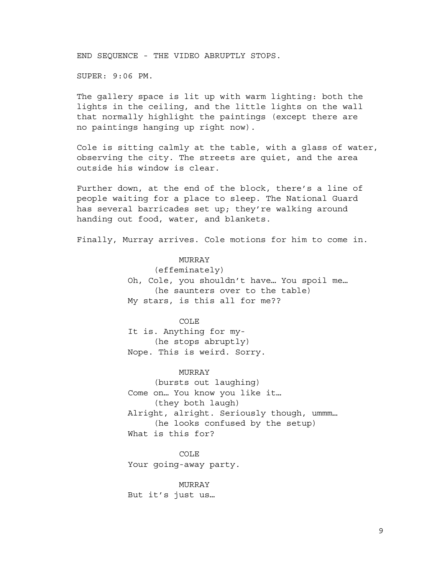END SEQUENCE - THE VIDEO ABRUPTLY STOPS.

SUPER: 9:06 PM.

The gallery space is lit up with warm lighting: both the lights in the ceiling, and the little lights on the wall that normally highlight the paintings (except there are no paintings hanging up right now).

Cole is sitting calmly at the table, with a glass of water, observing the city. The streets are quiet, and the area outside his window is clear.

Further down, at the end of the block, there's a line of people waiting for a place to sleep. The National Guard has several barricades set up; they're walking around handing out food, water, and blankets.

Finally, Murray arrives. Cole motions for him to come in.

## MURRAY

(effeminately) Oh, Cole, you shouldn't have… You spoil me… (he saunters over to the table) My stars, is this all for me??

## COLE

It is. Anything for my- (he stops abruptly) Nope. This is weird. Sorry.

#### MURRAY

(bursts out laughing) Come on… You know you like it… (they both laugh) Alright, alright. Seriously though, ummm… (he looks confused by the setup) What is this for?

COLE Your going-away party.

MURRAY But it's just us…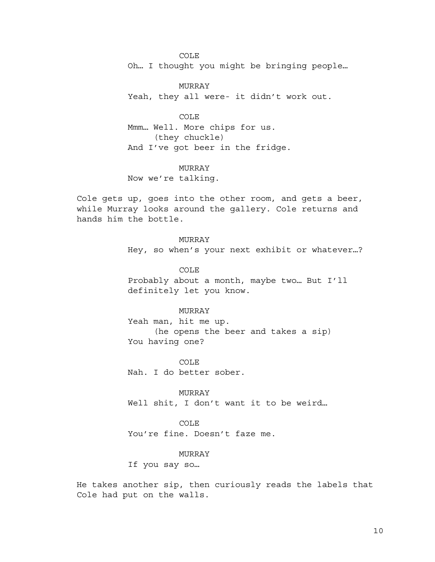COLE Oh… I thought you might be bringing people…

MURRAY Yeah, they all were- it didn't work out.

## COLE

Mmm… Well. More chips for us. (they chuckle) And I've got beer in the fridge.

# MURRAY

Now we're talking.

Cole gets up, goes into the other room, and gets a beer, while Murray looks around the gallery. Cole returns and hands him the bottle.

> MURRAY Hey, so when's your next exhibit or whatever…?

COLE Probably about a month, maybe two… But I'll definitely let you know.

## MURRAY

Yeah man, hit me up. (he opens the beer and takes a sip) You having one?

COLE Nah. I do better sober.

MURRAY Well shit, I don't want it to be weird...

COLE You're fine. Doesn't faze me.

MURRAY

If you say so…

He takes another sip, then curiously reads the labels that Cole had put on the walls.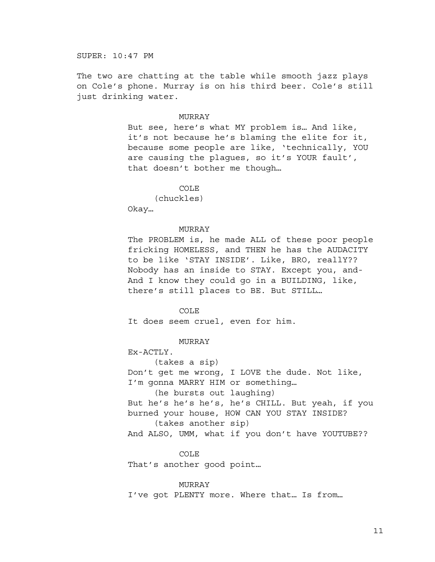SUPER: 10:47 PM

The two are chatting at the table while smooth jazz plays on Cole's phone. Murray is on his third beer. Cole's still just drinking water.

#### MURRAY

But see, here's what MY problem is… And like, it's not because he's blaming the elite for it, because some people are like, 'technically, YOU are causing the plagues, so it's YOUR fault', that doesn't bother me though…

#### COLE

(chuckles) Okay…

#### MURRAY

The PROBLEM is, he made ALL of these poor people fricking HOMELESS, and THEN he has the AUDACITY to be like 'STAY INSIDE'. Like, BRO, reallY?? Nobody has an inside to STAY. Except you, and-And I know they could go in a BUILDING, like, there's still places to BE. But STILL…

#### COLE

It does seem cruel, even for him.

MURRAY

Ex-ACTLY.

(takes a sip)

Don't get me wrong, I LOVE the dude. Not like, I'm gonna MARRY HIM or something…

(he bursts out laughing)

But he's he's he's, he's CHILL. But yeah, if you burned your house, HOW CAN YOU STAY INSIDE?

(takes another sip)

And ALSO, UMM, what if you don't have YOUTUBE??

COLE

That's another good point…

MURRAY I've got PLENTY more. Where that… Is from…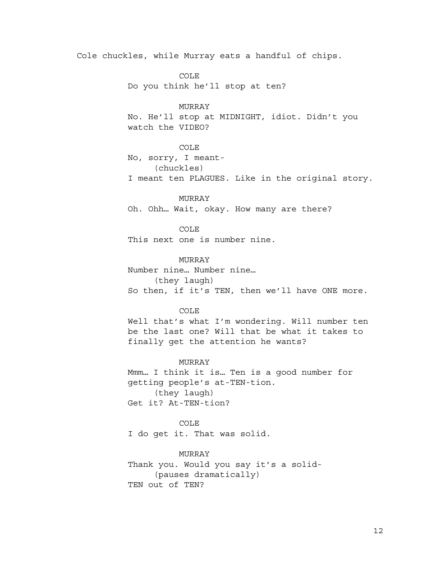Cole chuckles, while Murray eats a handful of chips.

COLE Do you think he'll stop at ten?

MURRAY No. He'll stop at MIDNIGHT, idiot. Didn't you watch the VIDEO?

COLE

No, sorry, I meant- (chuckles) I meant ten PLAGUES. Like in the original story.

MURRAY Oh. Ohh… Wait, okay. How many are there?

COLE This next one is number nine.

MURRAY Number nine… Number nine… (they laugh) So then, if it's TEN, then we'll have ONE more.

#### COLE

Well that's what I'm wondering. Will number ten be the last one? Will that be what it takes to finally get the attention he wants?

## MURRAY

Mmm… I think it is… Ten is a good number for getting people's at-TEN-tion. (they laugh) Get it? At-TEN-tion?

COLE I do get it. That was solid.

MURRAY Thank you. Would you say it's a solid-

(pauses dramatically) TEN out of TEN?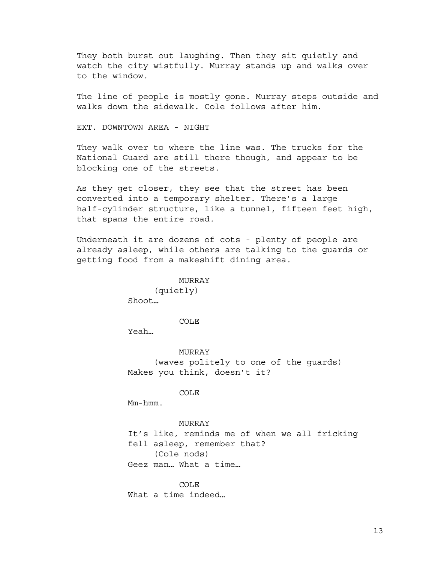They both burst out laughing. Then they sit quietly and watch the city wistfully. Murray stands up and walks over to the window.

The line of people is mostly gone. Murray steps outside and walks down the sidewalk. Cole follows after him.

EXT. DOWNTOWN AREA - NIGHT

They walk over to where the line was. The trucks for the National Guard are still there though, and appear to be blocking one of the streets.

As they get closer, they see that the street has been converted into a temporary shelter. There's a large half-cylinder structure, like a tunnel, fifteen feet high, that spans the entire road.

Underneath it are dozens of cots - plenty of people are already asleep, while others are talking to the guards or getting food from a makeshift dining area.

#### MURRAY

(quietly) Shoot…

COLE

Yeah…

MURRAY (waves politely to one of the guards) Makes you think, doesn't it?

COLE

Mm-hmm.

#### MURRAY

It's like, reminds me of when we all fricking fell asleep, remember that? (Cole nods) Geez man… What a time…

COLE What a time indeed…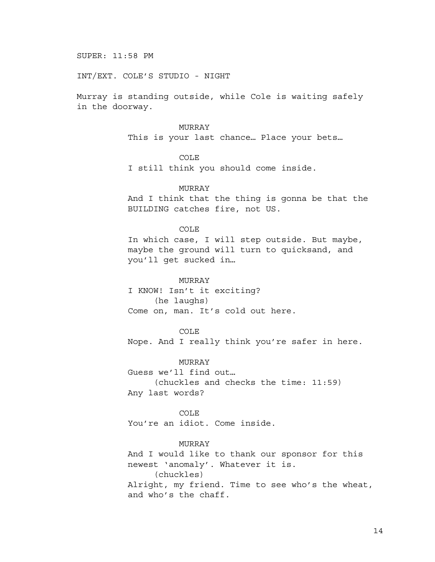SUPER: 11:58 PM

INT/EXT. COLE'S STUDIO - NIGHT

Murray is standing outside, while Cole is waiting safely in the doorway.

## MURRAY

This is your last chance… Place your bets…

# COLE

I still think you should come inside.

## MURRAY

And I think that the thing is gonna be that the BUILDING catches fire, not US.

## COLE

In which case, I will step outside. But maybe, maybe the ground will turn to quicksand, and you'll get sucked in…

#### MURRAY

I KNOW! Isn't it exciting? (he laughs) Come on, man. It's cold out here.

#### COLE

Nope. And I really think you're safer in here.

#### MURRAY

Guess we'll find out… (chuckles and checks the time: 11:59) Any last words?

# COLE

You're an idiot. Come inside.

## MURRAY

And I would like to thank our sponsor for this newest 'anomaly'. Whatever it is. (chuckles) Alright, my friend. Time to see who's the wheat, and who's the chaff.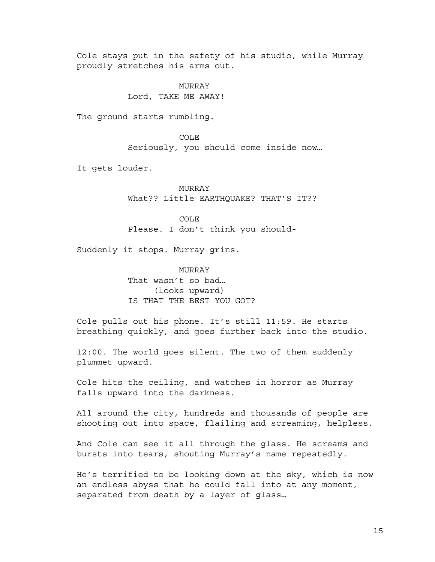Cole stays put in the safety of his studio, while Murray proudly stretches his arms out.

# MURRAY Lord, TAKE ME AWAY!

The ground starts rumbling.

COLE Seriously, you should come inside now…

It gets louder.

MURRAY What?? Little EARTHQUAKE? THAT'S IT??

COLE Please. I don't think you should-

Suddenly it stops. Murray grins.

MURRAY That wasn't so bad… (looks upward) IS THAT THE BEST YOU GOT?

Cole pulls out his phone. It's still 11:59. He starts breathing quickly, and goes further back into the studio.

12:00. The world goes silent. The two of them suddenly plummet upward.

Cole hits the ceiling, and watches in horror as Murray falls upward into the darkness.

All around the city, hundreds and thousands of people are shooting out into space, flailing and screaming, helpless.

And Cole can see it all through the glass. He screams and bursts into tears, shouting Murray's name repeatedly.

He's terrified to be looking down at the sky, which is now an endless abyss that he could fall into at any moment, separated from death by a layer of glass…